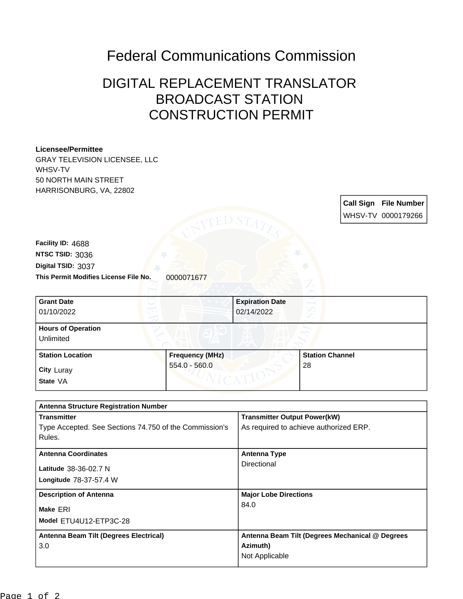## Federal Communications Commission

## DIGITAL REPLACEMENT TRANSLATOR BROADCAST STATION CONSTRUCTION PERMIT

| <b>Licensee/Permittee</b>                              |                        |                                        |                        |  |                              |
|--------------------------------------------------------|------------------------|----------------------------------------|------------------------|--|------------------------------|
| <b>GRAY TELEVISION LICENSEE, LLC</b>                   |                        |                                        |                        |  |                              |
| WHSV-TV                                                |                        |                                        |                        |  |                              |
| 50 NORTH MAIN STREET                                   |                        |                                        |                        |  |                              |
| HARRISONBURG, VA, 22802                                |                        |                                        |                        |  |                              |
|                                                        |                        |                                        |                        |  | <b>Call Sign File Number</b> |
|                                                        |                        |                                        |                        |  | WHSV-TV 0000179266           |
|                                                        |                        |                                        |                        |  |                              |
|                                                        |                        |                                        |                        |  |                              |
| Facility ID: 4688                                      |                        |                                        |                        |  |                              |
| NTSC TSID: 3036                                        |                        |                                        |                        |  |                              |
| Digital TSID: 3037                                     |                        |                                        |                        |  |                              |
| This Permit Modifies License File No.                  | 0000071677             |                                        |                        |  |                              |
|                                                        |                        |                                        |                        |  |                              |
| <b>Grant Date</b>                                      |                        | <b>Expiration Date</b>                 |                        |  |                              |
| 01/10/2022                                             |                        | 02/14/2022                             |                        |  |                              |
|                                                        |                        |                                        |                        |  |                              |
| <b>Hours of Operation</b>                              |                        |                                        |                        |  |                              |
| Unlimited                                              |                        |                                        |                        |  |                              |
| <b>Station Location</b>                                | <b>Frequency (MHz)</b> |                                        | <b>Station Channel</b> |  |                              |
|                                                        | $554.0 - 560.0$        |                                        | 28                     |  |                              |
| City Luray                                             |                        |                                        |                        |  |                              |
| State VA                                               |                        |                                        |                        |  |                              |
|                                                        |                        |                                        |                        |  |                              |
| <b>Antenna Structure Registration Number</b>           |                        |                                        |                        |  |                              |
| <b>Transmitter</b>                                     |                        | <b>Transmitter Output Power(kW)</b>    |                        |  |                              |
| Type Accepted. See Sections 74.750 of the Commission's |                        | As required to achieve authorized ERP. |                        |  |                              |
| Rules.                                                 |                        |                                        |                        |  |                              |
| <b>Antenna Coordinates</b>                             |                        | <b>Antenna Type</b>                    |                        |  |                              |
|                                                        |                        | Directional                            |                        |  |                              |
| Latitude 38-36-02.7 N                                  |                        |                                        |                        |  |                              |
| Longitude 78-37-57.4 W                                 |                        |                                        |                        |  |                              |
| <b>Description of Antenna</b>                          |                        | <b>Major Lobe Directions</b>           |                        |  |                              |
|                                                        |                        | 84.0                                   |                        |  |                              |
| Make ERI<br>Model ETU4U12-ETP3C-28                     |                        |                                        |                        |  |                              |
|                                                        |                        |                                        |                        |  |                              |

**Azimuth)** Not Applicable

**Antenna Beam Tilt (Degrees Mechanical @ Degrees** 

3.0

**Antenna Beam Tilt (Degrees Electrical)**